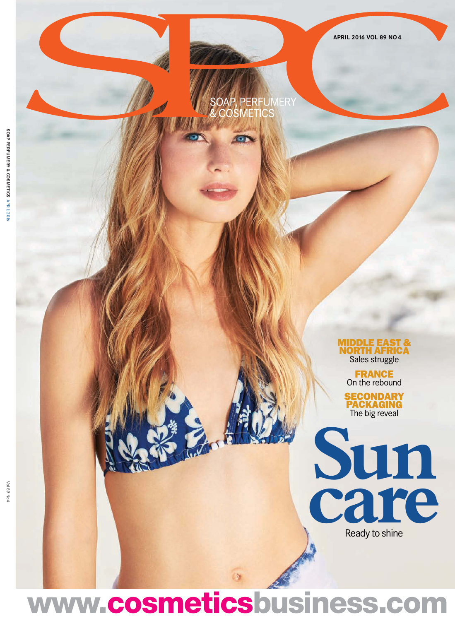# SOAP, PERFUMERY<br>& COSMETICS

**MIDDLE EAST & ORTH AFRIC** Sales struggle

> **FRANCE** On the rebound

**SECONDARY PACKAGING** The big reveal



www.cosmeticsbusiness.com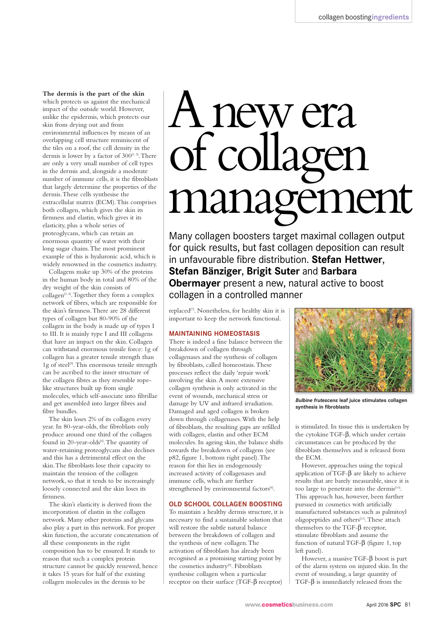**The dermis is the part of the skin** which protects us against the mechanical impact of the outside world. However, unlike the epidermis, which protects our skin from drying out and from environmental influences by means of an overlapping cell structure reminiscent of the tiles on a roof, the cell density in the dermis is lower by a factor of  $300^{[1, 2]}$ . There are only a very small number of cell types in the dermis and, alongside a moderate number of immune cells, it is the fibroblasts that largely determine the properties of the dermis. These cells synthesise the extracellular matrix (ECM). This comprises both collagen, which gives the skin its firmness and elastin, which gives it its elasticity, plus a whole series of proteoglycans, which can retain an enormous quantity of water with their long sugar chains. The most prominent example of this is hyaluronic acid, which is widely renowned in the cosmetics industry.

Collagens make up 30% of the proteins in the human body in total and 80% of the dry weight of the skin consists of collagen<sup>[3, 4]</sup>. Together they form a complex network of fibres, which are responsible for the skin's firmness. There are 28 different types of collagen but 80-90% of the collagen in the body is made up of types I to III. It is mainly type I and III collagens that have an impact on the skin. Collagen can withstand enormous tensile force: 1g of collagen has a greater tensile strength than 1g of steel<sup>[5]</sup>. This enormous tensile strength can be ascribed to the inner structure of the collagen fibres as they resemble ropelike structures built up from single molecules, which self-associate into fibrillae and get assembled into larger fibres and fibre bundles.

The skin loses 2% of its collagen every year. In 80-year-olds, the fibroblasts only produce around one third of the collagen found in 20-year-olds<sup>[6]</sup>. The quantity of water-retaining proteoglycans also declines and this has a detrimental effect on the skin. The fibroblasts lose their capacity to maintain the tension of the collagen network, so that it tends to be increasingly loosely connected and the skin loses its firmness.

The skin's elasticity is derived from the incorporation of elastin in the collagen network. Many other proteins and glycans also play a part in this network. For proper skin function, the accurate concatenation of all these components in the right composition has to be ensured. It stands to reason that such a complex protein structure cannot be quickly renewed, hence it takes 15 years for half of the existing collagen molecules in the dermis to be

# Anewera of collagen management

Many collagen boosters target maximal collagen output for quick results, but fast collagen deposition can result in unfavourable fibre distribution. **Stefan Hettwer**, **Stefan Bänziger**, **Brigit Suter** and **Barbara Obermayer** present a new, natural active to boost collagen in a controlled manner

replaced[7]. Nonetheless, for healthy skin it is important to keep the network functional.

# **MAINTAINING HOMEOSTASIS**

There is indeed a fine balance between the breakdown of collagen through collagenases and the synthesis of collagen by fibroblasts, called homeostasis. These processes reflect the daily 'repair work' involving the skin. A more extensive collagen synthesis is only activated in the event of wounds, mechanical stress or damage by UV and infrared irradiation. Damaged and aged collagen is broken down through collagenases. With the help of fibroblasts, the resulting gaps are refilled with collagen, elastin and other ECM molecules. In ageing skin, the balance shifts towards the breakdown of collagens (see p82, figure 1, bottom right panel). The reason for this lies in endogenously increased activity of collagenases and immune cells, which are further strengthened by environmental factors[8].

# **OLD SCHOOL COLLAGEN BOOSTING**

To maintain a healthy dermis structure, it is necessary to find a sustainable solution that will restore the subtle natural balance between the breakdown of collagen and the synthesis of new collagen. The activation of fibroblasts has already been recognised as a promising starting point by the cosmetics industry[9]. Fibroblasts synthesise collagen when a particular receptor on their surface (TGF-β receptor)



*Bulbine frutescens* **leaf juice stimulates collagen synthesis in fibroblasts**

is stimulated. In tissue this is undertaken by the cytokine TGF-β, which under certain circumstances can be produced by the fibroblasts themselves and is released from the ECM.

However, approaches using the topical application of TGF-β are likely to achieve results that are barely measurable, since it is too large to penetrate into the dermis<sup>[10]</sup>. This approach has, however, been further pursued in cosmetics with artificially manufactured substances such as palmitoyl oligopeptides and others[11]. These attach themselves to the TGF-β receptor, stimulate fibroblasts and assume the function of natural TGF-β (figure 1, top left panel).

However, a massive  $TGF-\beta$  boost is part of the alarm system on injured skin. In the event of wounding, a large quantity of TGF-β is immediately released from the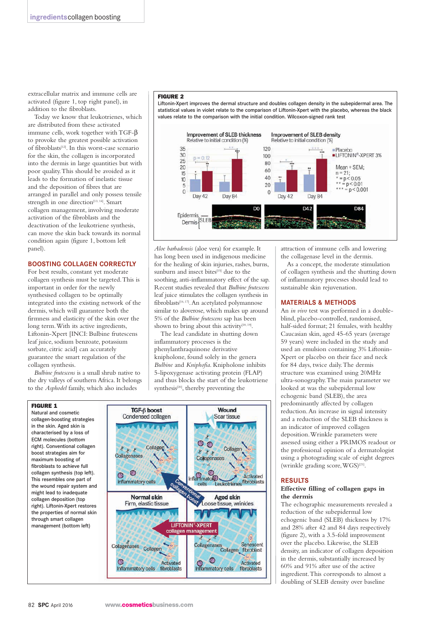extracellular matrix and immune cells are activated (figure 1, top right panel), in addition to the fibroblasts.

Today we know that leukotrienes, which are distributed from these activated immune cells, work together with TGF-β to provoke the greatest possible activation of fibroblasts<sup>[12]</sup>. In this worst-case scenario for the skin, the collagen is incorporated into the dermis in large quantities but with poor quality. This should be avoided as it leads to the formation of inelastic tissue and the deposition of fibres that are arranged in parallel and only possess tensile strength in one direction<sup>[13, 14]</sup>. Smart collagen management, involving moderate activation of the fibroblasts and the deactivation of the leukotriene synthesis, can move the skin back towards its normal condition again (figure 1, bottom left panel).

# **BOOSTING COLLAGEN CORRECTLY**

For best results, constant yet moderate collagen synthesis must be targeted. This is important in order for the newly synthesised collagen to be optimally integrated into the existing network of the dermis, which will guarantee both the firmness and elasticity of the skin over the long term. With its active ingredients, Liftonin-Xpert [INCI: Bulbine frutescens leaf juice, sodium benzoate, potassium sorbate, citric acid] can accurately guarantee the smart regulation of the collagen synthesis.

*Bulbine frutescens* is a small shrub native to the dry valleys of southern Africa. It belongs to the *Asphodel* family, which also includes

#### FIGURE 2

Liftonin-Xpert improves the dermal structure and doubles collagen density in the subepidermal area. The statistical values in violet relate to the comparison of Liftonin-Xpert with the placebo, whereas the black values relate to the comparison with the initial condition. Wilcoxon-signed rank test



*Aloe barbadensis* (aloe vera) for example. It has long been used in indigenous medicine for the healing of skin injuries, rashes, burns, sunburn and insect bites<sup>[15]</sup> due to the soothing, anti-inflammatory effect of the sap. Recent studies revealed that *Bulbine frutescens* leaf juice stimulates the collagen synthesis in fibroblasts<sup>[16, 17]</sup>. An acetylated polymannose similar to aloverose, which makes up around 5% of the *Bulbine frutescens* sap has been shown to bring about this activity<sup>[18, 19]</sup>.

The lead candidate in shutting down inflammatory processes is the phenylanthraquinone derivative knipholone, found solely in the genera *Bulbine* and *Kniphofia*. Knipholone inhibits 5-lipoxygenase activating protein (FLAP) and thus blocks the start of the leukotriene synthesis<sup>[20]</sup>, thereby preventing the



attraction of immune cells and lowering the collagenase level in the dermis.

As a concept, the moderate stimulation of collagen synthesis and the shutting down of inflammatory processes should lead to sustainable skin rejuvenation.

# **MATERIALS & METHODS**

An *in vivo* test was performed in a doubleblind, placebo-controlled, randomised, half-sided format; 21 females, with healthy Caucasian skin, aged 45-65 years (average 59 years) were included in the study and used an emulsion containing 3% Liftonin-Xpert or placebo on their face and neck for 84 days, twice daily. The dermis structure was examined using 20MHz ultra-sonography. The main parameter we looked at was the subepidermal low echogenic band (SLEB), the area predominantly affected by collagen reduction. An increase in signal intensity and a reduction of the SLEB thickness is an indicator of improved collagen deposition. Wrinkle parameters were assessed using either a PRIMOS readout or the professional opinion of a dermatologist using a photograding scale of eight degrees (wrinkle grading score, WGS)[21].

#### **RESULTS**

# **Effective filling of collagen gaps in the dermis**

The echographic measurements revealed a reduction of the subepidermal low echogenic band (SLEB) thickness by 17% and 28% after 42 and 84 days respectively (figure 2), with a 3.5-fold improvement over the placebo. Likewise, the SLEB density, an indicator of collagen deposition in the dermis, substantially increased by 60% and 91% after use of the active ingredient. This corresponds to almost a doubling of SLEB density over baseline